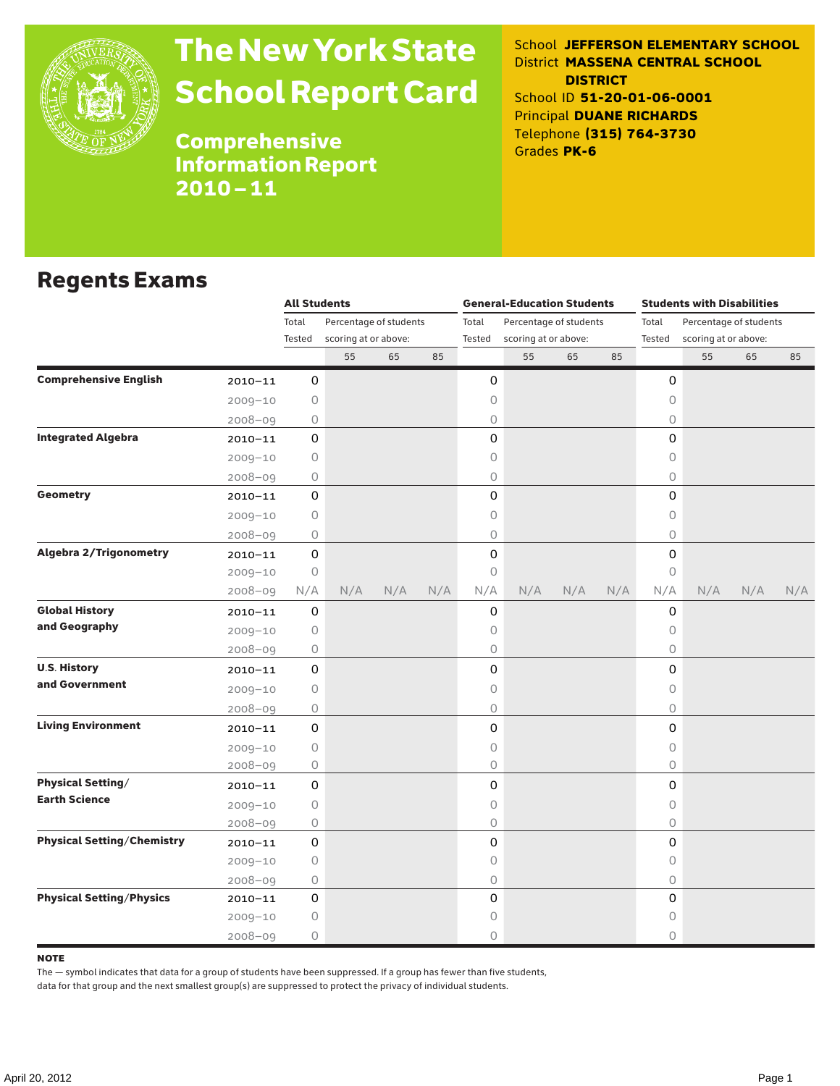

# The New York State School Report Card

School **JEFFERSON ELEMENTARY SCHOOL** District **MASSENA CENTRAL SCHOOL DISTRICT** School ID **51-20-01-06-0001** Principal **DUANE RICHARDS** Telephone **(315) 764-3730** Grades **PK-6**

Comprehensive Information Report 2010–11

## Regents Exams

|                                   |             | <b>All Students</b>             |                      |     |       |                        | <b>General-Education Students</b> |     |                                 | <b>Students with Disabilities</b> |                      |     |     |  |
|-----------------------------------|-------------|---------------------------------|----------------------|-----|-------|------------------------|-----------------------------------|-----|---------------------------------|-----------------------------------|----------------------|-----|-----|--|
|                                   |             | Total<br>Percentage of students |                      |     | Total | Percentage of students |                                   |     | Total<br>Percentage of students |                                   |                      |     |     |  |
|                                   |             | Tested                          | scoring at or above: |     |       | Tested                 | scoring at or above:              |     |                                 | Tested                            | scoring at or above: |     |     |  |
|                                   |             |                                 | 55                   | 65  | 85    |                        | 55                                | 65  | 85                              |                                   | 55                   | 65  | 85  |  |
| <b>Comprehensive English</b>      | $2010 - 11$ | 0                               |                      |     |       | 0                      |                                   |     |                                 | 0                                 |                      |     |     |  |
|                                   | $2009 - 10$ | 0                               |                      |     |       | 0                      |                                   |     |                                 | 0                                 |                      |     |     |  |
|                                   | $2008 - 09$ | 0                               |                      |     |       | 0                      |                                   |     |                                 | 0                                 |                      |     |     |  |
| <b>Integrated Algebra</b>         | $2010 - 11$ | 0                               |                      |     |       | 0                      |                                   |     |                                 | 0                                 |                      |     |     |  |
|                                   | $2009 - 10$ | 0                               |                      |     |       | 0                      |                                   |     |                                 | $\circ$                           |                      |     |     |  |
|                                   | $2008 - 09$ | 0                               |                      |     |       | 0                      |                                   |     |                                 | $\circ$                           |                      |     |     |  |
| Geometry                          | $2010 - 11$ | 0                               |                      |     |       | 0                      |                                   |     |                                 | $\mathsf{O}$                      |                      |     |     |  |
|                                   | $2009 - 10$ | 0                               |                      |     |       | 0                      |                                   |     |                                 | $\bigcirc$                        |                      |     |     |  |
|                                   | $2008 - 09$ | 0                               |                      |     |       | 0                      |                                   |     |                                 | 0                                 |                      |     |     |  |
| <b>Algebra 2/Trigonometry</b>     | $2010 - 11$ | 0                               |                      |     |       | 0                      |                                   |     |                                 | $\mathsf{O}$                      |                      |     |     |  |
|                                   | $2009 - 10$ | $\circ$                         |                      |     |       | 0                      |                                   |     |                                 | $\circ$                           |                      |     |     |  |
|                                   | $2008 - 09$ | N/A                             | N/A                  | N/A | N/A   | N/A                    | N/A                               | N/A | N/A                             | N/A                               | N/A                  | N/A | N/A |  |
| <b>Global History</b>             | $2010 - 11$ | 0                               |                      |     |       | 0                      |                                   |     |                                 | 0                                 |                      |     |     |  |
| and Geography                     | $2009 - 10$ | 0                               |                      |     |       | 0                      |                                   |     |                                 | 0                                 |                      |     |     |  |
|                                   | $2008 - 09$ | 0                               |                      |     |       | 0                      |                                   |     |                                 | 0                                 |                      |     |     |  |
| <b>U.S. History</b>               | $2010 - 11$ | 0                               |                      |     |       | 0                      |                                   |     |                                 | $\mathsf{O}$                      |                      |     |     |  |
| and Government                    | $2009 - 10$ | 0                               |                      |     |       | 0                      |                                   |     |                                 | $\circ$                           |                      |     |     |  |
|                                   | $2008 - 09$ | 0                               |                      |     |       | 0                      |                                   |     |                                 | $\circ$                           |                      |     |     |  |
| <b>Living Environment</b>         | $2010 - 11$ | 0                               |                      |     |       | 0                      |                                   |     |                                 | $\mathsf{O}\xspace$               |                      |     |     |  |
|                                   | $2009 - 10$ | 0                               |                      |     |       | 0                      |                                   |     |                                 | $\bigcirc$                        |                      |     |     |  |
|                                   | $2008 - 09$ | 0                               |                      |     |       | 0                      |                                   |     |                                 | $\circ$                           |                      |     |     |  |
| <b>Physical Setting/</b>          | $2010 - 11$ | 0                               |                      |     |       | 0                      |                                   |     |                                 | 0                                 |                      |     |     |  |
| <b>Earth Science</b>              | $2009 - 10$ | 0                               |                      |     |       | 0                      |                                   |     |                                 | $\circ$                           |                      |     |     |  |
|                                   | $2008 - 09$ | 0                               |                      |     |       | 0                      |                                   |     |                                 | 0                                 |                      |     |     |  |
| <b>Physical Setting/Chemistry</b> | $2010 - 11$ | 0                               |                      |     |       | 0                      |                                   |     |                                 | 0                                 |                      |     |     |  |
|                                   | $2009 - 10$ | 0                               |                      |     |       | 0                      |                                   |     |                                 | $\circ$                           |                      |     |     |  |
|                                   | $2008 - 09$ | 0                               |                      |     |       | 0                      |                                   |     |                                 | $\circ$                           |                      |     |     |  |
| <b>Physical Setting/Physics</b>   | $2010 - 11$ | 0                               |                      |     |       | 0                      |                                   |     |                                 | 0                                 |                      |     |     |  |
|                                   | $2009 - 10$ | 0                               |                      |     |       | 0                      |                                   |     |                                 | 0                                 |                      |     |     |  |
|                                   | $2008 - 09$ | 0                               |                      |     |       | 0                      |                                   |     |                                 | $\circ$                           |                      |     |     |  |

### **NOTE**

The — symbol indicates that data for a group of students have been suppressed. If a group has fewer than five students,

data for that group and the next smallest group(s) are suppressed to protect the privacy of individual students.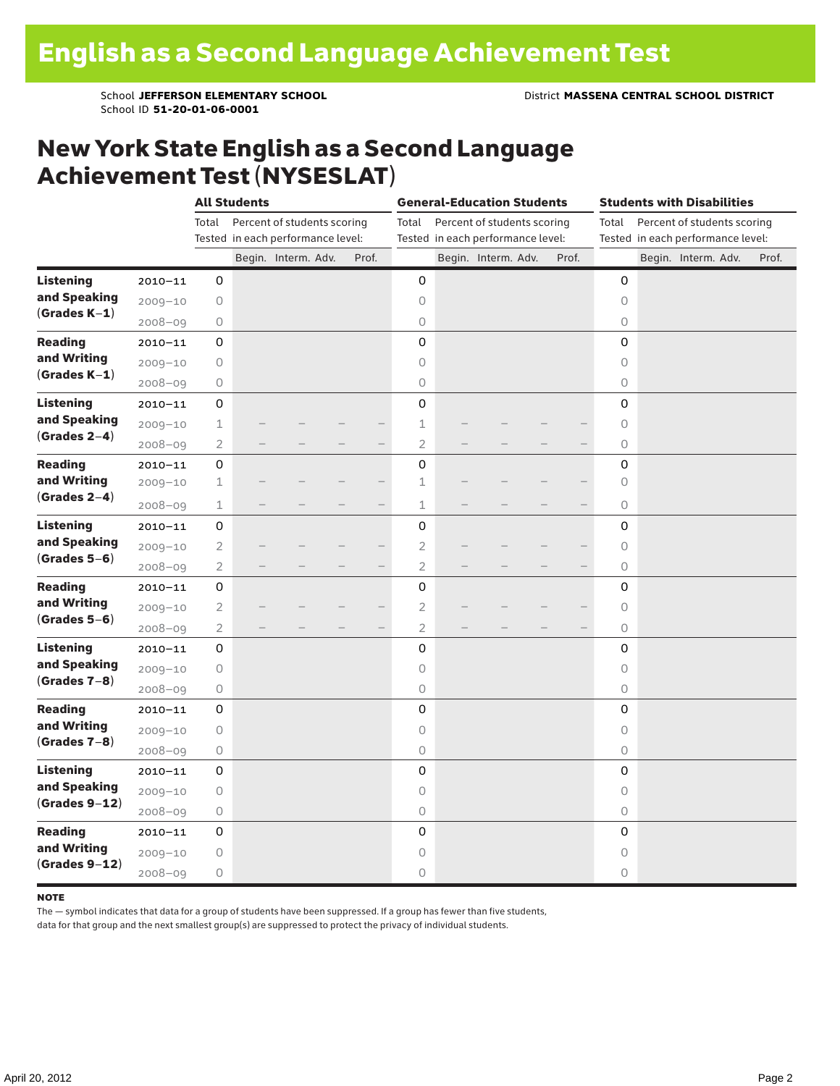School ID **51-20-01-06-0001**

## New York State English as a Second Language Achievement Test (NYSESLAT)

|                                                     |             |                                   | <b>All Students</b> |                             |  |                   |                | <b>General-Education Students</b> |                                   | <b>Students with Disabilities</b> |                                   |                                      |  |                     |  |       |
|-----------------------------------------------------|-------------|-----------------------------------|---------------------|-----------------------------|--|-------------------|----------------|-----------------------------------|-----------------------------------|-----------------------------------|-----------------------------------|--------------------------------------|--|---------------------|--|-------|
|                                                     |             | Total                             |                     | Percent of students scoring |  |                   | Total          |                                   | Percent of students scoring       |                                   |                                   | Percent of students scoring<br>Total |  |                     |  |       |
|                                                     |             | Tested in each performance level: |                     |                             |  |                   |                |                                   | Tested in each performance level: |                                   | Tested in each performance level: |                                      |  |                     |  |       |
|                                                     |             |                                   |                     | Begin. Interm. Adv.         |  | Prof.             |                |                                   | Begin. Interm. Adv.               |                                   | Prof.                             |                                      |  | Begin. Interm. Adv. |  | Prof. |
| <b>Listening</b>                                    | $2010 - 11$ | 0                                 |                     |                             |  |                   | 0              |                                   |                                   |                                   |                                   | 0                                    |  |                     |  |       |
| and Speaking<br>$(Grades K-1)$                      | $2009 - 10$ | $\circ$                           |                     |                             |  |                   | 0              |                                   |                                   |                                   |                                   | $\circ$                              |  |                     |  |       |
|                                                     | $2008 - 09$ | 0                                 |                     |                             |  |                   | $\circ$        |                                   |                                   |                                   |                                   | $\circ$                              |  |                     |  |       |
| <b>Reading</b><br>and Writing<br>$(Grades K-1)$     | $2010 - 11$ | 0                                 |                     |                             |  |                   | 0              |                                   |                                   |                                   |                                   | 0                                    |  |                     |  |       |
|                                                     | $2009 - 10$ | $\circ$                           |                     |                             |  |                   | $\circ$        |                                   |                                   |                                   |                                   | $\circ$                              |  |                     |  |       |
|                                                     | $2008 - 09$ | $\circ$                           |                     |                             |  |                   | 0              |                                   |                                   |                                   |                                   | $\circ$                              |  |                     |  |       |
| <b>Listening</b><br>and Speaking<br>$(Grades 2-4)$  | $2010 - 11$ | $\mathsf{O}\xspace$               |                     |                             |  |                   | 0              |                                   |                                   |                                   |                                   | 0                                    |  |                     |  |       |
|                                                     | $2009 - 10$ | $\mathbf 1$                       |                     |                             |  |                   | $\perp$        |                                   |                                   |                                   |                                   | $\circ$                              |  |                     |  |       |
|                                                     | $2008 - 09$ | $\overline{2}$                    |                     |                             |  | $\qquad \qquad -$ | $\overline{2}$ |                                   |                                   |                                   |                                   | $\circ$                              |  |                     |  |       |
| <b>Reading</b>                                      | $2010 - 11$ | $\mathsf 0$                       |                     |                             |  |                   | 0              |                                   |                                   |                                   |                                   | 0                                    |  |                     |  |       |
| and Writing                                         | $2009 - 10$ | 1                                 |                     |                             |  |                   | $\mathbf 1$    |                                   |                                   |                                   |                                   | $\circlearrowright$                  |  |                     |  |       |
| $(Grades 2-4)$                                      | $2008 - 09$ | $\mathbf 1$                       |                     |                             |  | —                 | $\mathbf{1}$   |                                   |                                   |                                   |                                   | $\circ$                              |  |                     |  |       |
| <b>Listening</b><br>and Speaking<br>$(Grades 5-6)$  | $2010 - 11$ | $\mathbf 0$                       |                     |                             |  |                   | 0              |                                   |                                   |                                   |                                   | $\mathbf 0$                          |  |                     |  |       |
|                                                     | $2009 - 10$ | $\overline{2}$                    |                     |                             |  |                   | $\overline{2}$ |                                   |                                   |                                   |                                   | $\circlearrowright$                  |  |                     |  |       |
|                                                     | 2008-09     | $\mathbf{2}$                      |                     |                             |  |                   | $\overline{c}$ |                                   |                                   |                                   |                                   | $\circlearrowright$                  |  |                     |  |       |
| <b>Reading</b>                                      | $2010 - 11$ | 0                                 |                     |                             |  |                   | 0              |                                   |                                   |                                   |                                   | $\mathbf 0$                          |  |                     |  |       |
| and Writing                                         | $2009 - 10$ | $\overline{2}$                    |                     |                             |  |                   | $\overline{2}$ |                                   |                                   |                                   |                                   | $\circ$                              |  |                     |  |       |
| $(Grades 5-6)$                                      | $2008 - 09$ | $\overline{2}$                    |                     |                             |  |                   | $\overline{2}$ |                                   |                                   |                                   |                                   | $\circ$                              |  |                     |  |       |
| <b>Listening</b><br>and Speaking<br>$(Grades 7-8)$  | $2010 - 11$ | 0                                 |                     |                             |  |                   | 0              |                                   |                                   |                                   |                                   | 0                                    |  |                     |  |       |
|                                                     | $2009 - 10$ | $\circ$                           |                     |                             |  |                   | $\circ$        |                                   |                                   |                                   |                                   | $\circ$                              |  |                     |  |       |
|                                                     | $2008 - 09$ | 0                                 |                     |                             |  |                   | $\circ$        |                                   |                                   |                                   |                                   | $\circ$                              |  |                     |  |       |
| <b>Reading</b><br>and Writing<br>$(Grades 7-8)$     | $2010 - 11$ | 0                                 |                     |                             |  |                   | 0              |                                   |                                   |                                   |                                   | 0                                    |  |                     |  |       |
|                                                     | $2009 - 10$ | 0                                 |                     |                             |  |                   | 0              |                                   |                                   |                                   |                                   | $\circ$                              |  |                     |  |       |
|                                                     | $2008 - 09$ | 0                                 |                     |                             |  |                   | 0              |                                   |                                   |                                   |                                   | $\circlearrowright$                  |  |                     |  |       |
| <b>Listening</b><br>and Speaking<br>$(Grades 9-12)$ | $2010 - 11$ | 0                                 |                     |                             |  |                   | 0              |                                   |                                   |                                   |                                   | $\mathbf 0$                          |  |                     |  |       |
|                                                     | $2009 - 10$ | $\circ$                           |                     |                             |  |                   | $\circ$        |                                   |                                   |                                   |                                   | $\circ$                              |  |                     |  |       |
|                                                     | $2008 - 09$ | $\circ$                           |                     |                             |  |                   | $\bigcirc$     |                                   |                                   |                                   |                                   | $\circ$                              |  |                     |  |       |
| <b>Reading</b><br>and Writing<br>$(Grades 9-12)$    | $2010 - 11$ | 0                                 |                     |                             |  |                   | 0              |                                   |                                   |                                   |                                   | 0                                    |  |                     |  |       |
|                                                     | $2009 - 10$ | $\circ$                           |                     |                             |  |                   | 0              |                                   |                                   |                                   |                                   | $\circ$                              |  |                     |  |       |
|                                                     | $2008 - 09$ | 0                                 |                     |                             |  |                   | 0              |                                   |                                   |                                   |                                   | 0                                    |  |                     |  |       |

#### note

The — symbol indicates that data for a group of students have been suppressed. If a group has fewer than five students,

data for that group and the next smallest group(s) are suppressed to protect the privacy of individual students.